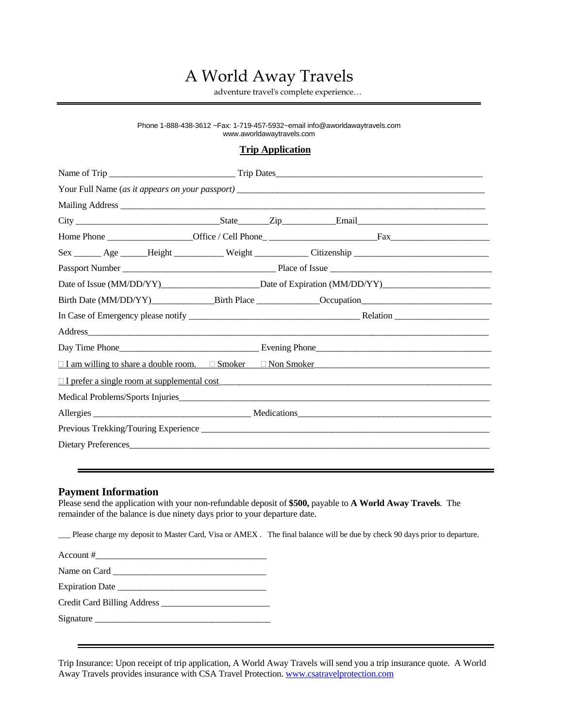# A World Away Travels

adventure travel's complete experience…

#### Phone 1-888-438-3612 ~Fax: 1-719-457-5932~email info@aworldawaytravels.com www.aworldawaytravels.com

#### **Trip Application**

|                     | Sex ______ Age ______ Height ___________ Weight ____________ Citizenship ___________________________ |  |  |
|---------------------|------------------------------------------------------------------------------------------------------|--|--|
|                     |                                                                                                      |  |  |
|                     |                                                                                                      |  |  |
|                     |                                                                                                      |  |  |
|                     |                                                                                                      |  |  |
|                     |                                                                                                      |  |  |
|                     |                                                                                                      |  |  |
|                     | $\Box$ I am willing to share a double room. $\Box$ Smoker $\Box$ Non Smoker                          |  |  |
|                     | $\Box$ I prefer a single room at supplemental cost                                                   |  |  |
|                     |                                                                                                      |  |  |
|                     |                                                                                                      |  |  |
|                     |                                                                                                      |  |  |
| Dietary Preferences |                                                                                                      |  |  |
|                     |                                                                                                      |  |  |

#### **Payment Information**

Please send the application with your non-refundable deposit of **\$500,** payable to **A World Away Travels**. The remainder of the balance is due ninety days prior to your departure date.

\_\_\_ Please charge my deposit to Master Card, Visa or AMEX . The final balance will be due by check 90 days prior to departure.

Account #\_\_\_\_\_\_\_\_\_\_\_\_\_\_\_\_\_\_\_\_\_\_\_\_\_\_\_\_\_\_\_\_\_\_\_\_\_\_

Name on Card \_\_\_\_\_\_\_\_\_\_\_\_\_\_\_\_\_\_\_\_\_\_\_\_\_\_\_\_\_\_\_\_\_\_

Expiration Date \_\_\_\_\_\_\_\_\_\_\_\_\_\_\_\_\_\_\_\_\_\_\_\_\_\_\_\_\_\_\_\_\_

Credit Card Billing Address \_\_\_\_\_\_\_\_\_\_\_\_\_\_\_\_\_\_\_\_\_\_\_\_

Signature \_\_\_\_\_\_\_\_\_\_\_\_\_\_\_\_\_\_\_\_\_\_\_\_\_\_\_\_\_\_\_\_\_\_\_\_\_\_\_

Trip Insurance: Upon receipt of trip application, A World Away Travels will send you a trip insurance quote. A World Away Travels provides insurance with CSA Travel Protection. [www.csatravelprotection.com](http://www.csatravelprotection.com/)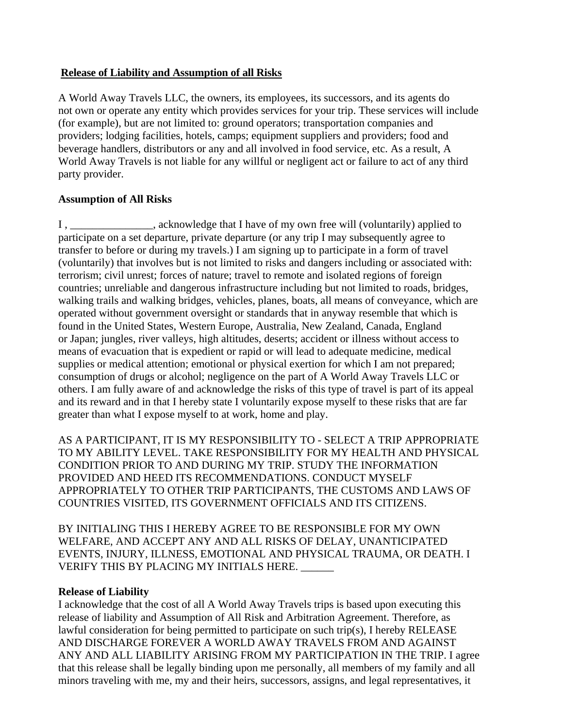#### **Release of Liability and Assumption of all Risks**

A World Away Travels LLC, the owners, its employees, its successors, and its agents do not own or operate any entity which provides services for your trip. These services will include (for example), but are not limited to: ground operators; transportation companies and providers; lodging facilities, hotels, camps; equipment suppliers and providers; food and beverage handlers, distributors or any and all involved in food service, etc. As a result, A World Away Travels is not liable for any willful or negligent act or failure to act of any third party provider.

# **Assumption of All Risks**

I , \_\_\_\_\_\_\_\_\_\_\_\_\_\_\_, acknowledge that I have of my own free will (voluntarily) applied to participate on a set departure, private departure (or any trip I may subsequently agree to transfer to before or during my travels.) I am signing up to participate in a form of travel (voluntarily) that involves but is not limited to risks and dangers including or associated with: terrorism; civil unrest; forces of nature; travel to remote and isolated regions of foreign countries; unreliable and dangerous infrastructure including but not limited to roads, bridges, walking trails and walking bridges, vehicles, planes, boats, all means of conveyance, which are operated without government oversight or standards that in anyway resemble that which is found in the United States, Western Europe, Australia, New Zealand, Canada, England or Japan; jungles, river valleys, high altitudes, deserts; accident or illness without access to means of evacuation that is expedient or rapid or will lead to adequate medicine, medical supplies or medical attention; emotional or physical exertion for which I am not prepared; consumption of drugs or alcohol; negligence on the part of A World Away Travels LLC or others. I am fully aware of and acknowledge the risks of this type of travel is part of its appeal and its reward and in that I hereby state I voluntarily expose myself to these risks that are far greater than what I expose myself to at work, home and play.

AS A PARTICIPANT, IT IS MY RESPONSIBILITY TO - SELECT A TRIP APPROPRIATE TO MY ABILITY LEVEL. TAKE RESPONSIBILITY FOR MY HEALTH AND PHYSICAL CONDITION PRIOR TO AND DURING MY TRIP. STUDY THE INFORMATION PROVIDED AND HEED ITS RECOMMENDATIONS. CONDUCT MYSELF APPROPRIATELY TO OTHER TRIP PARTICIPANTS, THE CUSTOMS AND LAWS OF COUNTRIES VISITED, ITS GOVERNMENT OFFICIALS AND ITS CITIZENS.

BY INITIALING THIS I HEREBY AGREE TO BE RESPONSIBLE FOR MY OWN WELFARE, AND ACCEPT ANY AND ALL RISKS OF DELAY, UNANTICIPATED EVENTS, INJURY, ILLNESS, EMOTIONAL AND PHYSICAL TRAUMA, OR DEATH. I VERIFY THIS BY PLACING MY INITIALS HERE.

#### **Release of Liability**

I acknowledge that the cost of all A World Away Travels trips is based upon executing this release of liability and Assumption of All Risk and Arbitration Agreement. Therefore, as lawful consideration for being permitted to participate on such trip(s), I hereby RELEASE AND DISCHARGE FOREVER A WORLD AWAY TRAVELS FROM AND AGAINST ANY AND ALL LIABILITY ARISING FROM MY PARTICIPATION IN THE TRIP. I agree that this release shall be legally binding upon me personally, all members of my family and all minors traveling with me, my and their heirs, successors, assigns, and legal representatives, it